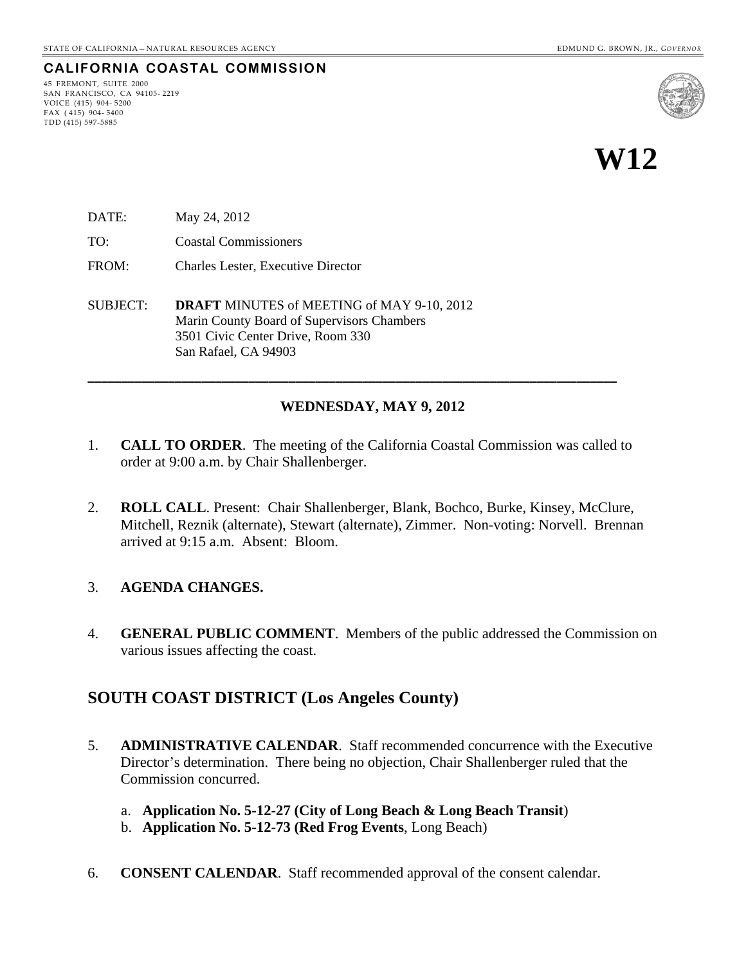### **CALIFORNIA COASTAL COMMISSION**

45 FREMONT, SUITE 2000 SAN FRANCISCO, CA 94105- 2219 VOICE (415) 904- 5200 FAX ( 415) 904- 5400 TDD (415) 597-5885



**W12** 

- DATE: May 24, 2012
- TO: Coastal Commissioners
- FROM: Charles Lester, Executive Director
- SUBJECT: **DRAFT** MINUTES of MEETING of MAY 9-10, 2012 Marin County Board of Supervisors Chambers 3501 Civic Center Drive, Room 330 San Rafael, CA 94903

#### **WEDNESDAY, MAY 9, 2012**

1. **CALL TO ORDER**. The meeting of the California Coastal Commission was called to order at 9:00 a.m. by Chair Shallenberger.

**\_\_\_\_\_\_\_\_\_\_\_\_\_\_\_\_\_\_\_\_\_\_\_\_\_\_\_\_\_\_\_\_\_\_\_\_\_\_\_\_\_\_\_\_\_\_\_\_\_\_\_\_\_\_\_\_\_\_\_\_\_\_\_\_\_\_\_\_\_\_\_\_\_\_\_\_\_\_\_** 

2. **ROLL CALL**. Present: Chair Shallenberger, Blank, Bochco, Burke, Kinsey, McClure, Mitchell, Reznik (alternate), Stewart (alternate), Zimmer. Non-voting: Norvell. Brennan arrived at 9:15 a.m. Absent: Bloom.

#### 3. **AGENDA CHANGES.**

4. **GENERAL PUBLIC COMMENT**. Members of the public addressed the Commission on various issues affecting the coast.

### **SOUTH COAST DISTRICT (Los Angeles County)**

- 5. **ADMINISTRATIVE CALENDAR**. Staff recommended concurrence with the Executive Director's determination. There being no objection, Chair Shallenberger ruled that the Commission concurred.
	- a. **Application No. 5-12-27 (City of Long Beach & Long Beach Transit**)
	- b. **Application No. 5-12-73 (Red Frog Events**, Long Beach)
- 6. **CONSENT CALENDAR**. Staff recommended approval of the consent calendar.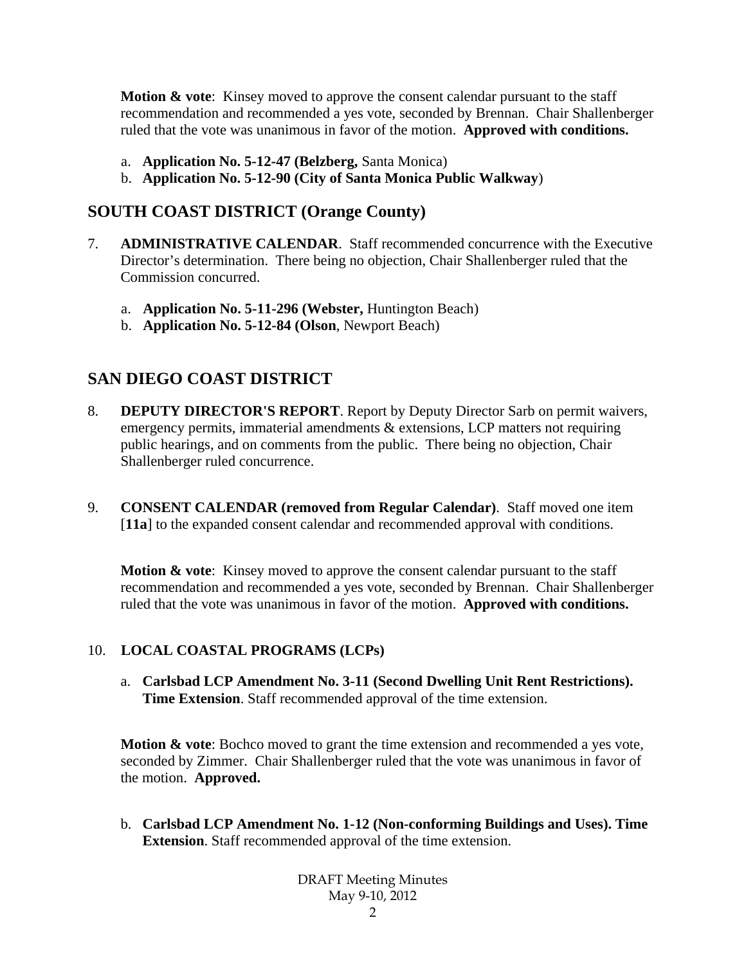**Motion & vote:** Kinsey moved to approve the consent calendar pursuant to the staff recommendation and recommended a yes vote, seconded by Brennan. Chair Shallenberger ruled that the vote was unanimous in favor of the motion. **Approved with conditions.** 

- a. **Application No. 5-12-47 (Belzberg,** Santa Monica)
- b. **Application No. 5-12-90 (City of Santa Monica Public Walkway**)

## **SOUTH COAST DISTRICT (Orange County)**

- 7. **ADMINISTRATIVE CALENDAR**. Staff recommended concurrence with the Executive Director's determination. There being no objection, Chair Shallenberger ruled that the Commission concurred.
	- a. **Application No. 5-11-296 (Webster,** Huntington Beach)
	- b. **Application No. 5-12-84 (Olson**, Newport Beach)

# **SAN DIEGO COAST DISTRICT**

- 8. **DEPUTY DIRECTOR'S REPORT**. Report by Deputy Director Sarb on permit waivers, emergency permits, immaterial amendments & extensions, LCP matters not requiring public hearings, and on comments from the public. There being no objection, Chair Shallenberger ruled concurrence.
- 9. **CONSENT CALENDAR (removed from Regular Calendar)**. Staff moved one item [**11a**] to the expanded consent calendar and recommended approval with conditions.

**Motion & vote:** Kinsey moved to approve the consent calendar pursuant to the staff recommendation and recommended a yes vote, seconded by Brennan. Chair Shallenberger ruled that the vote was unanimous in favor of the motion. **Approved with conditions.** 

### 10. **LOCAL COASTAL PROGRAMS (LCPs)**

a. **Carlsbad LCP Amendment No. 3-11 (Second Dwelling Unit Rent Restrictions). Time Extension**. Staff recommended approval of the time extension.

**Motion & vote**: Bochco moved to grant the time extension and recommended a yes vote, seconded by Zimmer. Chair Shallenberger ruled that the vote was unanimous in favor of the motion. **Approved.**

b. **Carlsbad LCP Amendment No. 1-12 (Non-conforming Buildings and Uses). Time Extension**. Staff recommended approval of the time extension.

> DRAFT Meeting Minutes May 9-10, 2012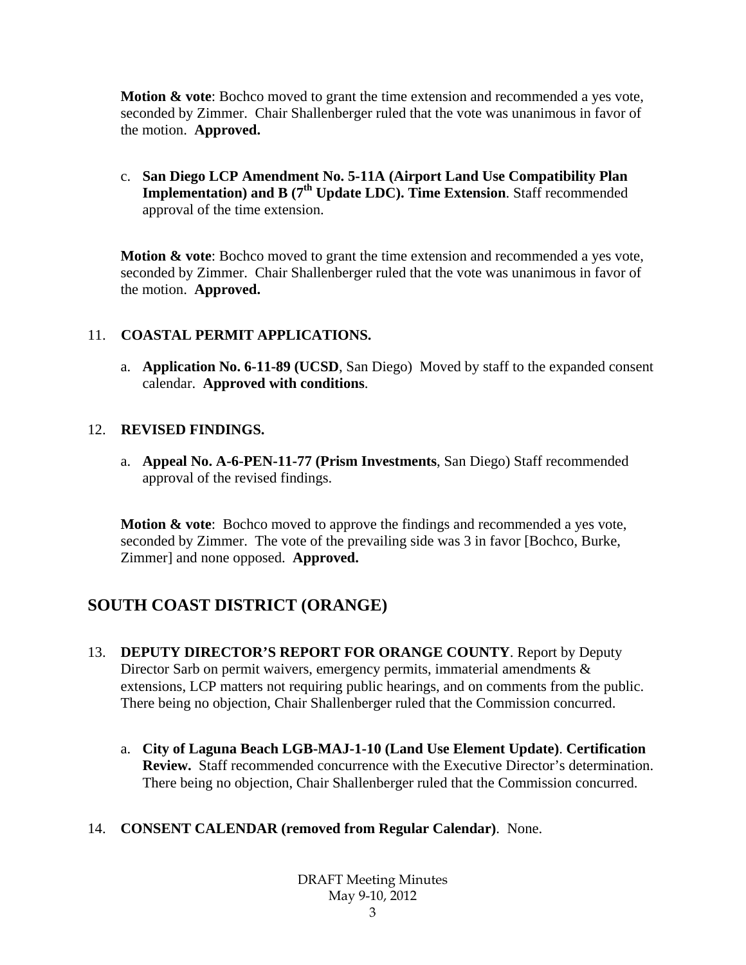**Motion & vote**: Bochco moved to grant the time extension and recommended a yes vote, seconded by Zimmer. Chair Shallenberger ruled that the vote was unanimous in favor of the motion. **Approved.**

c. **San Diego LCP Amendment No. 5-11A (Airport Land Use Compatibility Plan Implementation) and B (7<sup>th</sup> Update LDC). Time Extension**. Staff recommended approval of the time extension.

**Motion & vote**: Bochco moved to grant the time extension and recommended a yes vote, seconded by Zimmer. Chair Shallenberger ruled that the vote was unanimous in favor of the motion. **Approved.**

### 11. **COASTAL PERMIT APPLICATIONS.**

a. **Application No. 6-11-89 (UCSD**, San Diego) Moved by staff to the expanded consent calendar. **Approved with conditions**.

### 12. **REVISED FINDINGS.**

a. **Appeal No. A-6-PEN-11-77 (Prism Investments**, San Diego) Staff recommended approval of the revised findings.

**Motion & vote**: Bochco moved to approve the findings and recommended a yes vote, seconded by Zimmer. The vote of the prevailing side was 3 in favor [Bochco, Burke, Zimmer] and none opposed. **Approved.**

# **SOUTH COAST DISTRICT (ORANGE)**

- 13. **DEPUTY DIRECTOR'S REPORT FOR ORANGE COUNTY**. Report by Deputy Director Sarb on permit waivers, emergency permits, immaterial amendments  $\&$ extensions, LCP matters not requiring public hearings, and on comments from the public. There being no objection, Chair Shallenberger ruled that the Commission concurred.
	- a. **City of Laguna Beach LGB-MAJ-1-10 (Land Use Element Update)**. **Certification Review.** Staff recommended concurrence with the Executive Director's determination. There being no objection, Chair Shallenberger ruled that the Commission concurred.

### 14. **CONSENT CALENDAR (removed from Regular Calendar)**. None.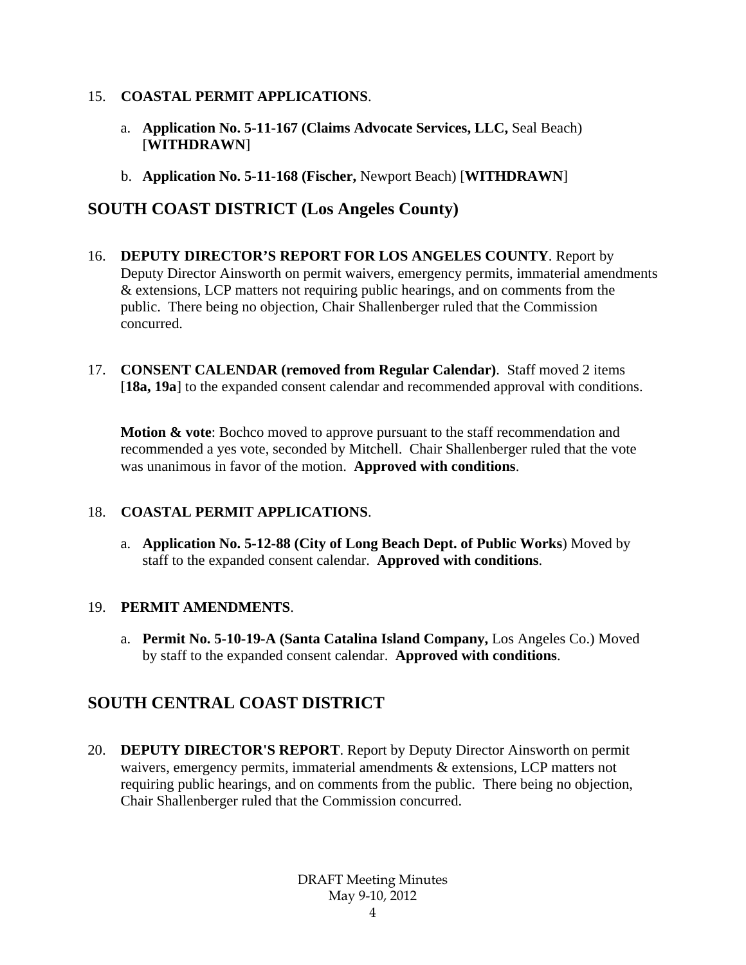#### 15. **COASTAL PERMIT APPLICATIONS**.

- a. **Application No. 5-11-167 (Claims Advocate Services, LLC,** Seal Beach) [**WITHDRAWN**]
- b. **Application No. 5-11-168 (Fischer,** Newport Beach) [**WITHDRAWN**]

# **SOUTH COAST DISTRICT (Los Angeles County)**

- 16. **DEPUTY DIRECTOR'S REPORT FOR LOS ANGELES COUNTY**. Report by Deputy Director Ainsworth on permit waivers, emergency permits, immaterial amendments & extensions, LCP matters not requiring public hearings, and on comments from the public. There being no objection, Chair Shallenberger ruled that the Commission concurred.
- 17. **CONSENT CALENDAR (removed from Regular Calendar)**. Staff moved 2 items [18a, 19a] to the expanded consent calendar and recommended approval with conditions.

**Motion & vote**: Bochco moved to approve pursuant to the staff recommendation and recommended a yes vote, seconded by Mitchell. Chair Shallenberger ruled that the vote was unanimous in favor of the motion. **Approved with conditions**.

### 18. **COASTAL PERMIT APPLICATIONS**.

a. **Application No. 5-12-88 (City of Long Beach Dept. of Public Works**) Moved by staff to the expanded consent calendar. **Approved with conditions**.

### 19. **PERMIT AMENDMENTS**.

a. **Permit No. 5-10-19-A (Santa Catalina Island Company,** Los Angeles Co.) Moved by staff to the expanded consent calendar. **Approved with conditions**.

# **SOUTH CENTRAL COAST DISTRICT**

20. **DEPUTY DIRECTOR'S REPORT**. Report by Deputy Director Ainsworth on permit waivers, emergency permits, immaterial amendments & extensions, LCP matters not requiring public hearings, and on comments from the public. There being no objection, Chair Shallenberger ruled that the Commission concurred.

> DRAFT Meeting Minutes May 9-10, 2012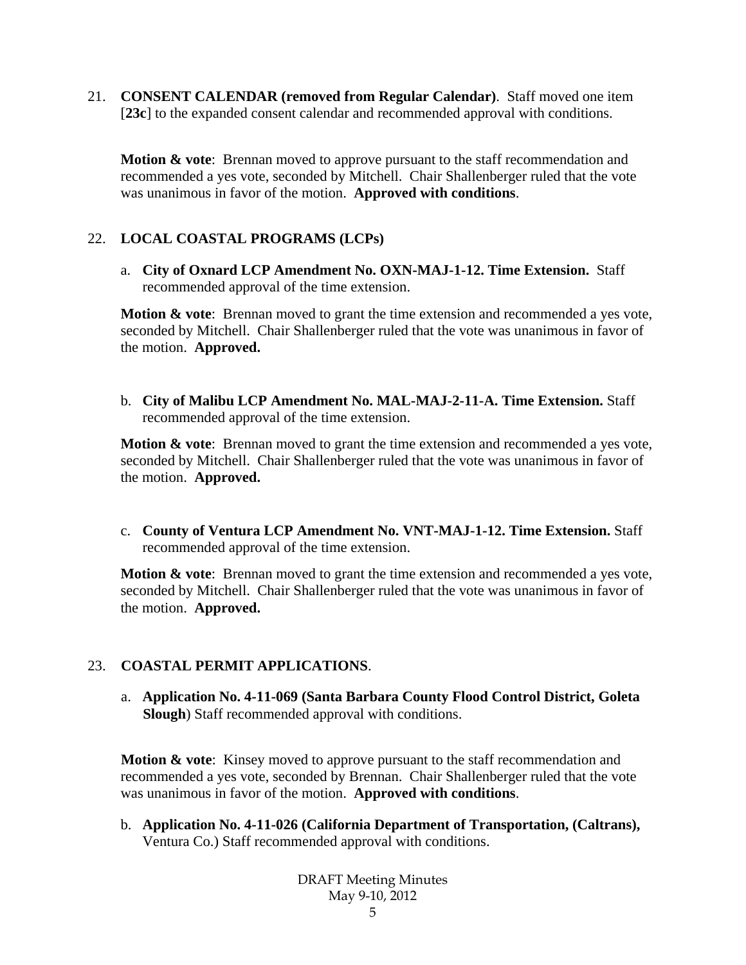21. **CONSENT CALENDAR (removed from Regular Calendar)**. Staff moved one item [**23c**] to the expanded consent calendar and recommended approval with conditions.

**Motion & vote:** Brennan moved to approve pursuant to the staff recommendation and recommended a yes vote, seconded by Mitchell. Chair Shallenberger ruled that the vote was unanimous in favor of the motion. **Approved with conditions**.

### 22. **LOCAL COASTAL PROGRAMS (LCPs)**

a. **City of Oxnard LCP Amendment No. OXN-MAJ-1-12. Time Extension.** Staff recommended approval of the time extension.

**Motion & vote:** Brennan moved to grant the time extension and recommended a yes vote, seconded by Mitchell. Chair Shallenberger ruled that the vote was unanimous in favor of the motion. **Approved.** 

b. **City of Malibu LCP Amendment No. MAL-MAJ-2-11-A. Time Extension.** Staff recommended approval of the time extension.

**Motion & vote**: Brennan moved to grant the time extension and recommended a yes vote, seconded by Mitchell. Chair Shallenberger ruled that the vote was unanimous in favor of the motion. **Approved.** 

c. **County of Ventura LCP Amendment No. VNT-MAJ-1-12. Time Extension.** Staff recommended approval of the time extension.

**Motion & vote:** Brennan moved to grant the time extension and recommended a yes vote, seconded by Mitchell. Chair Shallenberger ruled that the vote was unanimous in favor of the motion. **Approved.** 

### 23. **COASTAL PERMIT APPLICATIONS**.

a. **Application No. 4-11-069 (Santa Barbara County Flood Control District, Goleta Slough**) Staff recommended approval with conditions.

**Motion & vote:** Kinsey moved to approve pursuant to the staff recommendation and recommended a yes vote, seconded by Brennan. Chair Shallenberger ruled that the vote was unanimous in favor of the motion. **Approved with conditions**.

b. **Application No. 4-11-026 (California Department of Transportation, (Caltrans),**  Ventura Co.) Staff recommended approval with conditions.

> DRAFT Meeting Minutes May 9-10, 2012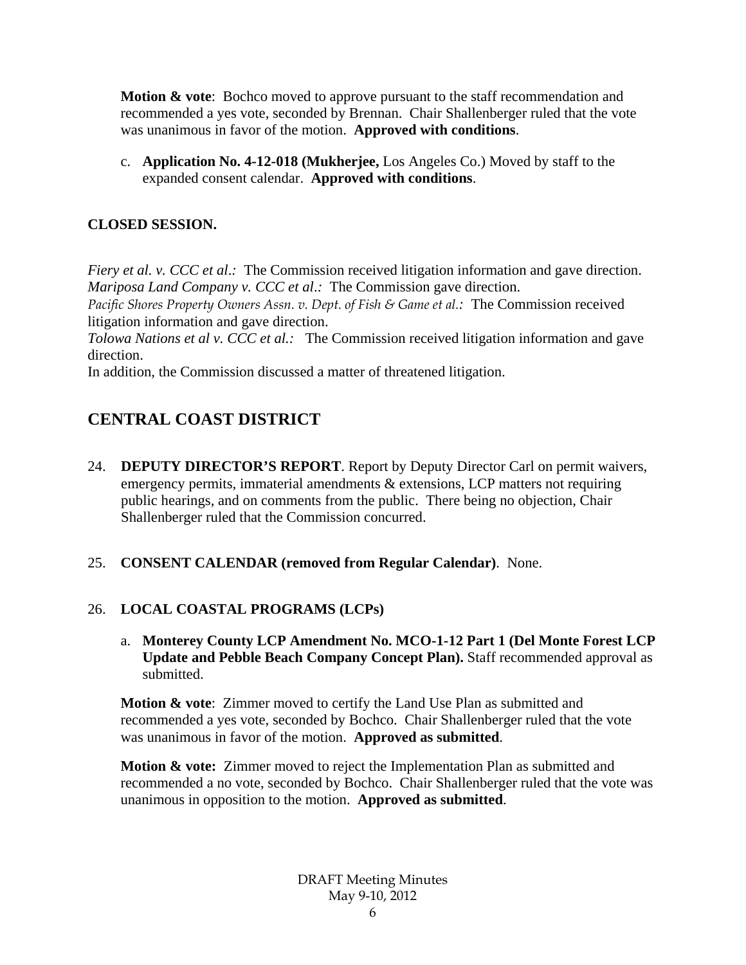**Motion & vote:** Bochco moved to approve pursuant to the staff recommendation and recommended a yes vote, seconded by Brennan. Chair Shallenberger ruled that the vote was unanimous in favor of the motion. **Approved with conditions**.

c. **Application No. 4-12-018 (Mukherjee,** Los Angeles Co.) Moved by staff to the expanded consent calendar. **Approved with conditions**.

### **CLOSED SESSION.**

*Fiery et al. v. CCC et al.*: The Commission received litigation information and gave direction. *Mariposa Land Company v. CCC et al*.*:* The Commission gave direction.

*Pacific Shores Property Owners Assn. v. Dept. of Fish & Game et al.:* The Commission received litigation information and gave direction.

*Tolowa Nations et al v. CCC et al.:* The Commission received litigation information and gave direction.

In addition, the Commission discussed a matter of threatened litigation.

# **CENTRAL COAST DISTRICT**

- 24. **DEPUTY DIRECTOR'S REPORT**. Report by Deputy Director Carl on permit waivers, emergency permits, immaterial amendments & extensions, LCP matters not requiring public hearings, and on comments from the public. There being no objection, Chair Shallenberger ruled that the Commission concurred.
- 25. **CONSENT CALENDAR (removed from Regular Calendar)**. None.

### 26. **LOCAL COASTAL PROGRAMS (LCPs)**

a. **Monterey County LCP Amendment No. MCO-1-12 Part 1 (Del Monte Forest LCP Update and Pebble Beach Company Concept Plan).** Staff recommended approval as submitted.

**Motion & vote**: Zimmer moved to certify the Land Use Plan as submitted and recommended a yes vote, seconded by Bochco. Chair Shallenberger ruled that the vote was unanimous in favor of the motion. **Approved as submitted**.

**Motion & vote:** Zimmer moved to reject the Implementation Plan as submitted and recommended a no vote, seconded by Bochco. Chair Shallenberger ruled that the vote was unanimous in opposition to the motion. **Approved as submitted**.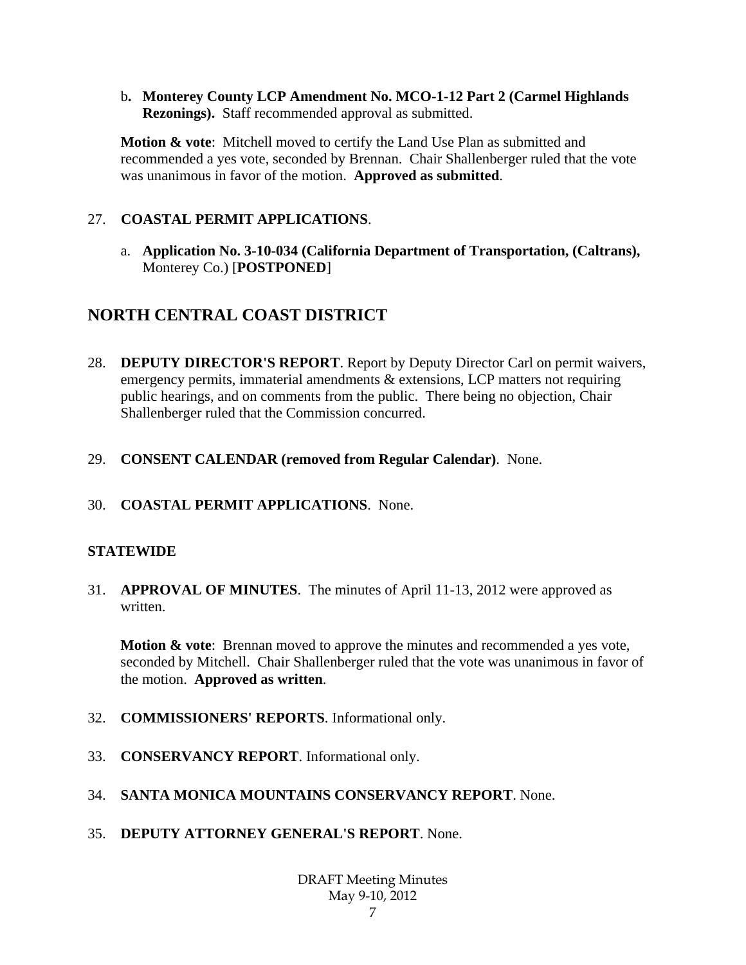b**. Monterey County LCP Amendment No. MCO-1-12 Part 2 (Carmel Highlands Rezonings).** Staff recommended approval as submitted.

**Motion & vote**: Mitchell moved to certify the Land Use Plan as submitted and recommended a yes vote, seconded by Brennan. Chair Shallenberger ruled that the vote was unanimous in favor of the motion. **Approved as submitted**.

### 27. **COASTAL PERMIT APPLICATIONS**.

a. **Application No. 3-10-034 (California Department of Transportation, (Caltrans),** Monterey Co.) [**POSTPONED**]

# **NORTH CENTRAL COAST DISTRICT**

- 28. **DEPUTY DIRECTOR'S REPORT**. Report by Deputy Director Carl on permit waivers, emergency permits, immaterial amendments & extensions, LCP matters not requiring public hearings, and on comments from the public. There being no objection, Chair Shallenberger ruled that the Commission concurred.
- 29. **CONSENT CALENDAR (removed from Regular Calendar)**. None.
- 30. **COASTAL PERMIT APPLICATIONS**. None.

### **STATEWIDE**

31. **APPROVAL OF MINUTES**. The minutes of April 11-13, 2012 were approved as written.

**Motion & vote**: Brennan moved to approve the minutes and recommended a yes vote, seconded by Mitchell. Chair Shallenberger ruled that the vote was unanimous in favor of the motion. **Approved as written**.

- 32. **COMMISSIONERS' REPORTS**. Informational only.
- 33. **CONSERVANCY REPORT**. Informational only.
- 34. **SANTA MONICA MOUNTAINS CONSERVANCY REPORT**. None.
- 35. **DEPUTY ATTORNEY GENERAL'S REPORT**. None.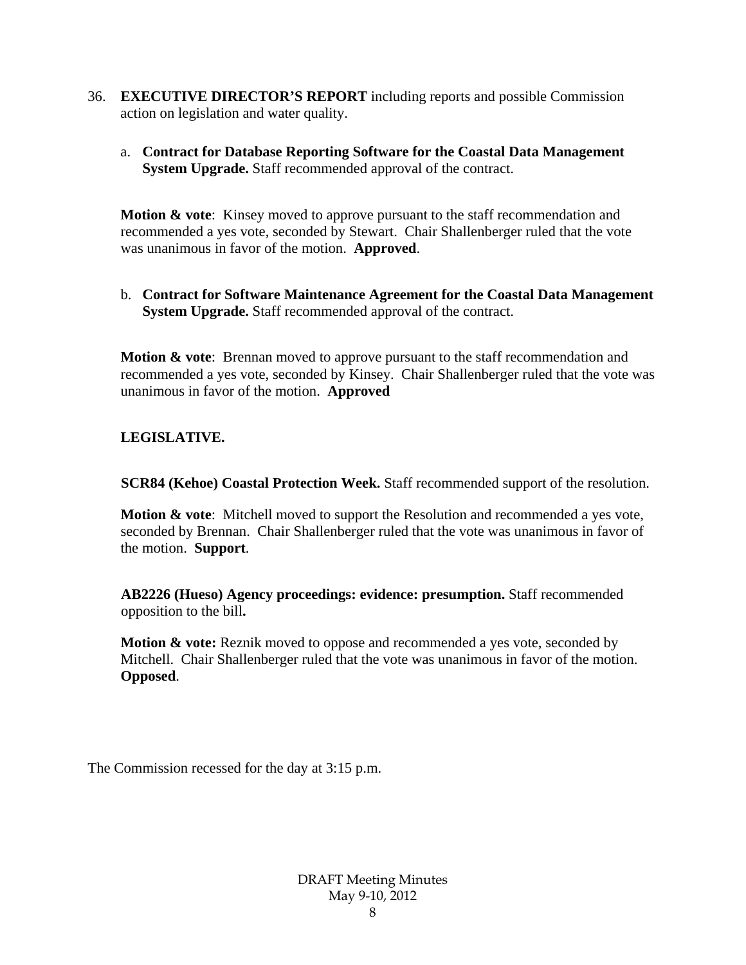- 36. **EXECUTIVE DIRECTOR'S REPORT** including reports and possible Commission action on legislation and water quality.
	- a. **Contract for Database Reporting Software for the Coastal Data Management System Upgrade.** Staff recommended approval of the contract.

**Motion & vote**: Kinsey moved to approve pursuant to the staff recommendation and recommended a yes vote, seconded by Stewart. Chair Shallenberger ruled that the vote was unanimous in favor of the motion. **Approved**.

b. **Contract for Software Maintenance Agreement for the Coastal Data Management System Upgrade.** Staff recommended approval of the contract.

**Motion & vote**: Brennan moved to approve pursuant to the staff recommendation and recommended a yes vote, seconded by Kinsey. Chair Shallenberger ruled that the vote was unanimous in favor of the motion. **Approved** 

### **LEGISLATIVE.**

**SCR84 (Kehoe) Coastal Protection Week.** Staff recommended support of the resolution.

**Motion & vote**: Mitchell moved to support the Resolution and recommended a yes vote, seconded by Brennan. Chair Shallenberger ruled that the vote was unanimous in favor of the motion. **Support**.

**AB2226 (Hueso) Agency proceedings: evidence: presumption.** Staff recommended opposition to the bill**.** 

**Motion & vote:** Reznik moved to oppose and recommended a yes vote, seconded by Mitchell. Chair Shallenberger ruled that the vote was unanimous in favor of the motion. **Opposed**.

The Commission recessed for the day at 3:15 p.m.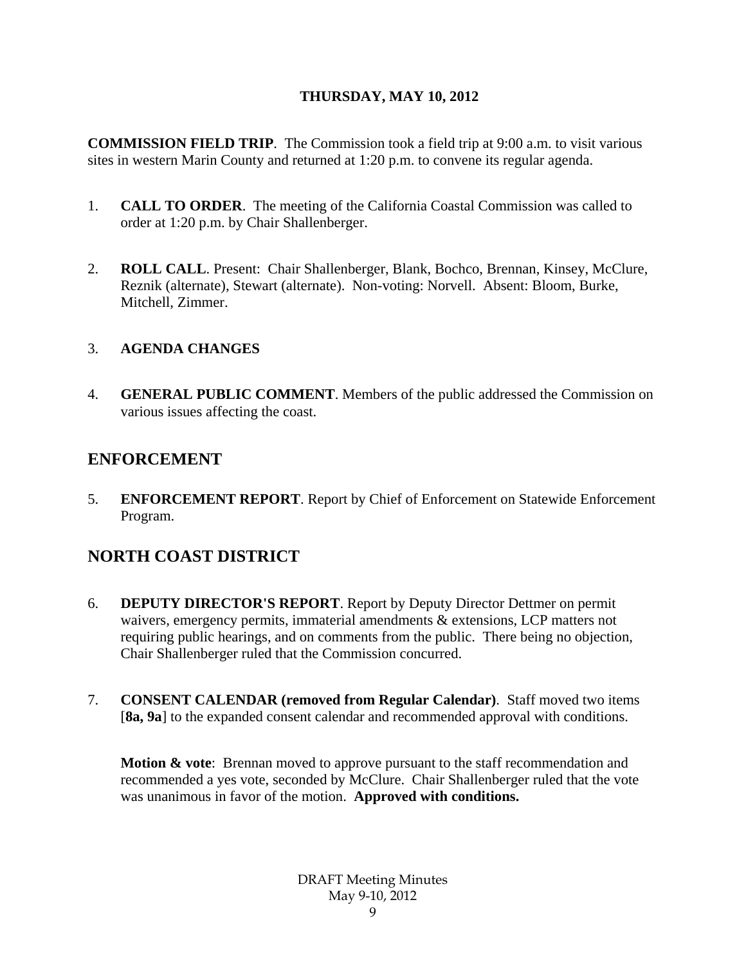### **THURSDAY, MAY 10, 2012**

**COMMISSION FIELD TRIP**. The Commission took a field trip at 9:00 a.m. to visit various sites in western Marin County and returned at 1:20 p.m. to convene its regular agenda.

- 1. **CALL TO ORDER**. The meeting of the California Coastal Commission was called to order at 1:20 p.m. by Chair Shallenberger.
- 2. **ROLL CALL**. Present: Chair Shallenberger, Blank, Bochco, Brennan, Kinsey, McClure, Reznik (alternate), Stewart (alternate). Non-voting: Norvell. Absent: Bloom, Burke, Mitchell, Zimmer.

### 3. **AGENDA CHANGES**

4. **GENERAL PUBLIC COMMENT**. Members of the public addressed the Commission on various issues affecting the coast.

## **ENFORCEMENT**

5. **ENFORCEMENT REPORT**. Report by Chief of Enforcement on Statewide Enforcement Program.

# **NORTH COAST DISTRICT**

- 6. **DEPUTY DIRECTOR'S REPORT**. Report by Deputy Director Dettmer on permit waivers, emergency permits, immaterial amendments & extensions, LCP matters not requiring public hearings, and on comments from the public. There being no objection, Chair Shallenberger ruled that the Commission concurred.
- 7. **CONSENT CALENDAR (removed from Regular Calendar)**. Staff moved two items [8a, 9a] to the expanded consent calendar and recommended approval with conditions.

**Motion & vote:** Brennan moved to approve pursuant to the staff recommendation and recommended a yes vote, seconded by McClure. Chair Shallenberger ruled that the vote was unanimous in favor of the motion. **Approved with conditions.**